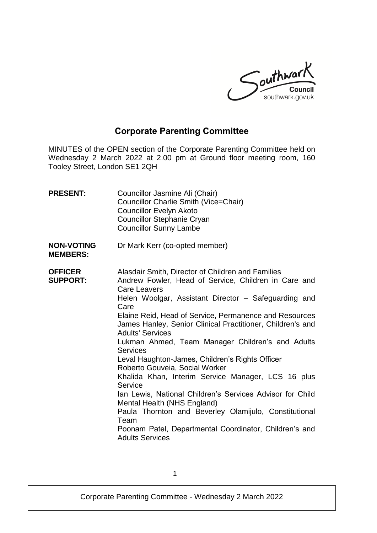

# **Corporate Parenting Committee**

MINUTES of the OPEN section of the Corporate Parenting Committee held on Wednesday 2 March 2022 at 2.00 pm at Ground floor meeting room, 160 Tooley Street, London SE1 2QH

| <b>PRESENT:</b>                      | Councillor Jasmine Ali (Chair)<br>Councillor Charlie Smith (Vice=Chair)<br><b>Councillor Evelyn Akoto</b><br><b>Councillor Stephanie Cryan</b><br><b>Councillor Sunny Lambe</b>                                                                                                                                                                                                                                                                                                                                                                                                                                                                                                                                                                                                                                            |
|--------------------------------------|----------------------------------------------------------------------------------------------------------------------------------------------------------------------------------------------------------------------------------------------------------------------------------------------------------------------------------------------------------------------------------------------------------------------------------------------------------------------------------------------------------------------------------------------------------------------------------------------------------------------------------------------------------------------------------------------------------------------------------------------------------------------------------------------------------------------------|
| <b>NON-VOTING</b><br><b>MEMBERS:</b> | Dr Mark Kerr (co-opted member)                                                                                                                                                                                                                                                                                                                                                                                                                                                                                                                                                                                                                                                                                                                                                                                             |
| <b>OFFICER</b><br><b>SUPPORT:</b>    | Alasdair Smith, Director of Children and Families<br>Andrew Fowler, Head of Service, Children in Care and<br>Care Leavers<br>Helen Woolgar, Assistant Director – Safeguarding and<br>Care<br>Elaine Reid, Head of Service, Permanence and Resources<br>James Hanley, Senior Clinical Practitioner, Children's and<br><b>Adults' Services</b><br>Lukman Ahmed, Team Manager Children's and Adults<br><b>Services</b><br>Leval Haughton-James, Children's Rights Officer<br>Roberto Gouveia, Social Worker<br>Khalida Khan, Interim Service Manager, LCS 16 plus<br>Service<br>Ian Lewis, National Children's Services Advisor for Child<br>Mental Health (NHS England)<br>Paula Thornton and Beverley Olamijulo, Constitutional<br>Team<br>Poonam Patel, Departmental Coordinator, Children's and<br><b>Adults Services</b> |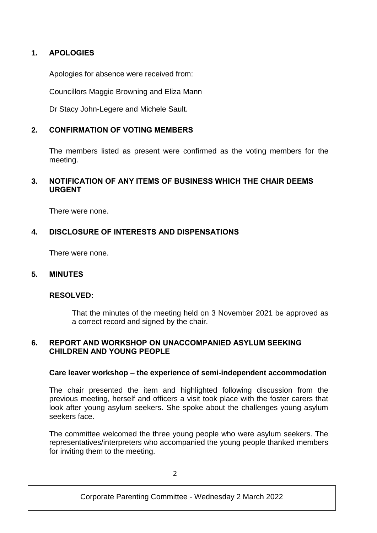## **1. APOLOGIES**

Apologies for absence were received from:

Councillors Maggie Browning and Eliza Mann

Dr Stacy John-Legere and Michele Sault.

## **2. CONFIRMATION OF VOTING MEMBERS**

The members listed as present were confirmed as the voting members for the meeting.

## **3. NOTIFICATION OF ANY ITEMS OF BUSINESS WHICH THE CHAIR DEEMS URGENT**

There were none.

## **4. DISCLOSURE OF INTERESTS AND DISPENSATIONS**

There were none.

#### **5. MINUTES**

#### **RESOLVED:**

That the minutes of the meeting held on 3 November 2021 be approved as a correct record and signed by the chair.

#### **6. REPORT AND WORKSHOP ON UNACCOMPANIED ASYLUM SEEKING CHILDREN AND YOUNG PEOPLE**

#### **Care leaver workshop – the experience of semi-independent accommodation**

The chair presented the item and highlighted following discussion from the previous meeting, herself and officers a visit took place with the foster carers that look after young asylum seekers. She spoke about the challenges young asylum seekers face.

The committee welcomed the three young people who were asylum seekers. The representatives/interpreters who accompanied the young people thanked members for inviting them to the meeting.

Corporate Parenting Committee - Wednesday 2 March 2022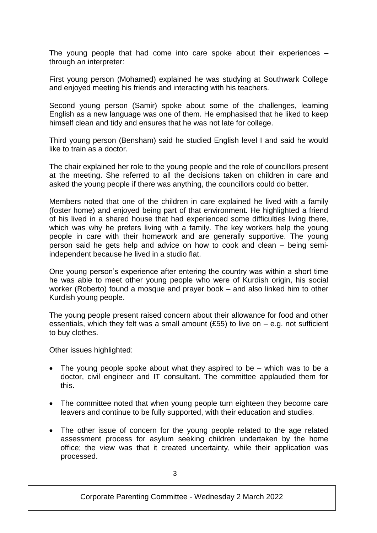The young people that had come into care spoke about their experiences – through an interpreter:

First young person (Mohamed) explained he was studying at Southwark College and enjoyed meeting his friends and interacting with his teachers.

Second young person (Samir) spoke about some of the challenges, learning English as a new language was one of them. He emphasised that he liked to keep himself clean and tidy and ensures that he was not late for college.

Third young person (Bensham) said he studied English level I and said he would like to train as a doctor.

The chair explained her role to the young people and the role of councillors present at the meeting. She referred to all the decisions taken on children in care and asked the young people if there was anything, the councillors could do better.

Members noted that one of the children in care explained he lived with a family (foster home) and enjoyed being part of that environment. He highlighted a friend of his lived in a shared house that had experienced some difficulties living there, which was why he prefers living with a family. The key workers help the young people in care with their homework and are generally supportive. The young person said he gets help and advice on how to cook and clean – being semiindependent because he lived in a studio flat.

One young person's experience after entering the country was within a short time he was able to meet other young people who were of Kurdish origin, his social worker (Roberto) found a mosque and prayer book – and also linked him to other Kurdish young people.

The young people present raised concern about their allowance for food and other essentials, which they felt was a small amount (£55) to live on  $-$  e.g. not sufficient to buy clothes.

Other issues highlighted:

- The young people spoke about what they aspired to be which was to be a doctor, civil engineer and IT consultant. The committee applauded them for this.
- The committee noted that when young people turn eighteen they become care leavers and continue to be fully supported, with their education and studies.
- The other issue of concern for the young people related to the age related assessment process for asylum seeking children undertaken by the home office; the view was that it created uncertainty, while their application was processed.

Corporate Parenting Committee - Wednesday 2 March 2022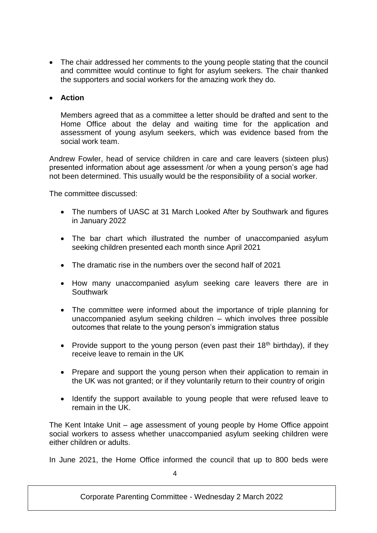The chair addressed her comments to the young people stating that the council and committee would continue to fight for asylum seekers. The chair thanked the supporters and social workers for the amazing work they do.

#### **Action**

Members agreed that as a committee a letter should be drafted and sent to the Home Office about the delay and waiting time for the application and assessment of young asylum seekers, which was evidence based from the social work team.

Andrew Fowler, head of service children in care and care leavers (sixteen plus) presented information about age assessment /or when a young person's age had not been determined. This usually would be the responsibility of a social worker.

The committee discussed:

- The numbers of UASC at 31 March Looked After by Southwark and figures in January 2022
- The bar chart which illustrated the number of unaccompanied asylum seeking children presented each month since April 2021
- The dramatic rise in the numbers over the second half of 2021
- How many unaccompanied asylum seeking care leavers there are in **Southwark**
- The committee were informed about the importance of triple planning for unaccompanied asylum seeking children – which involves three possible outcomes that relate to the young person's immigration status
- Provide support to the young person (even past their  $18<sup>th</sup>$  birthday), if they receive leave to remain in the UK
- Prepare and support the young person when their application to remain in the UK was not granted; or if they voluntarily return to their country of origin
- Identify the support available to young people that were refused leave to remain in the UK.

The Kent Intake Unit – age assessment of young people by Home Office appoint social workers to assess whether unaccompanied asylum seeking children were either children or adults.

In June 2021, the Home Office informed the council that up to 800 beds were

Corporate Parenting Committee - Wednesday 2 March 2022